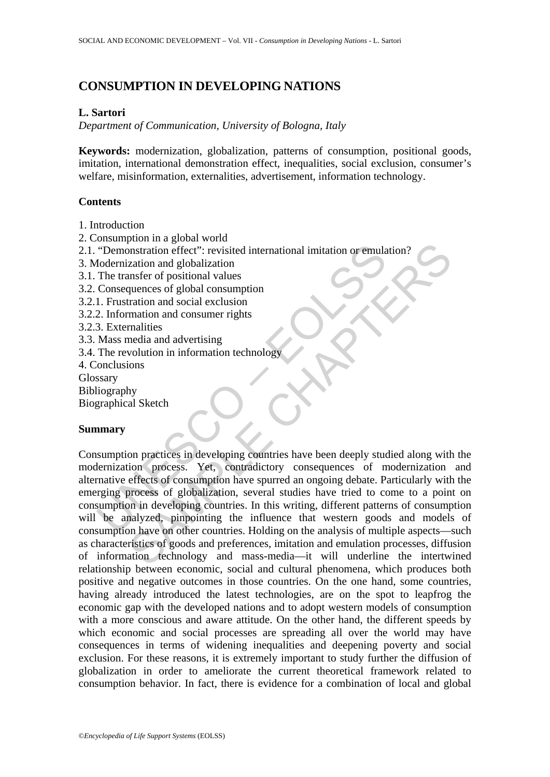# **CONSUMPTION IN DEVELOPING NATIONS**

### **L. Sartori**

*Department of Communication, University of Bologna, Italy*

**Keywords:** modernization, globalization, patterns of consumption, positional goods, imitation, international demonstration effect, inequalities, social exclusion, consumer's welfare, misinformation, externalities, advertisement, information technology.

### **Contents**

- 1. Introduction
- 2. Consumption in a global world
- 2.1. "Demonstration effect": revisited international imitation or emulation?
- 3. Modernization and globalization
- 3.1. The transfer of positional values
- 3.2. Consequences of global consumption
- 3.2.1. Frustration and social exclusion
- 3.2.2. Information and consumer rights
- 3.2.3. Externalities
- 3.3. Mass media and advertising
- 3.4. The revolution in information technology
- 4. Conclusions
- **Glossary**
- Bibliography
- Biographical Sketch

### **Summary**

"Demonstration effect": revisited international imitation or emula<br>
dodernization and globalization<br>
The transfer of positional values<br>
Consequences of global consumption<br>
1. Frustration and social exclusion<br>
2. Informatio metropology and mass-media —it will underline the intertwite<br>that and globalization and globalization<br>unemes of global consumption<br>ration and social exclusion<br>matinities<br>media and advertising<br>wolution in information techno Consumption practices in developing countries have been deeply studied along with the modernization process. Yet, contradictory consequences of modernization and alternative effects of consumption have spurred an ongoing debate. Particularly with the emerging process of globalization, several studies have tried to come to a point on consumption in developing countries. In this writing, different patterns of consumption will be analyzed, pinpointing the influence that western goods and models of consumption have on other countries. Holding on the analysis of multiple aspects—such as characteristics of goods and preferences, imitation and emulation processes, diffusion of information technology and mass-media—it will underline the intertwined relationship between economic, social and cultural phenomena, which produces both positive and negative outcomes in those countries. On the one hand, some countries, having already introduced the latest technologies, are on the spot to leapfrog the economic gap with the developed nations and to adopt western models of consumption with a more conscious and aware attitude. On the other hand, the different speeds by which economic and social processes are spreading all over the world may have consequences in terms of widening inequalities and deepening poverty and social exclusion. For these reasons, it is extremely important to study further the diffusion of globalization in order to ameliorate the current theoretical framework related to consumption behavior. In fact, there is evidence for a combination of local and global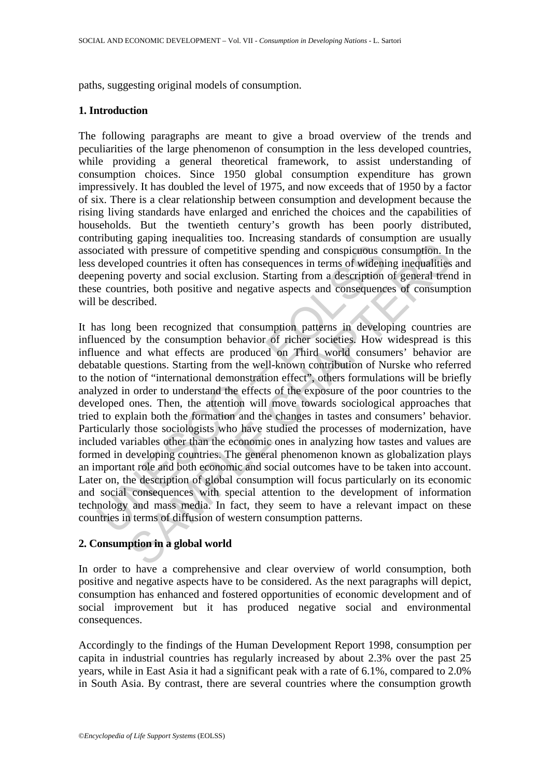paths, suggesting original models of consumption.

## **1. Introduction**

The following paragraphs are meant to give a broad overview of the trends and peculiarities of the large phenomenon of consumption in the less developed countries, while providing a general theoretical framework, to assist understanding of consumption choices. Since 1950 global consumption expenditure has grown impressively. It has doubled the level of 1975, and now exceeds that of 1950 by a factor of six. There is a clear relationship between consumption and development because the rising living standards have enlarged and enriched the choices and the capabilities of households. But the twentieth century's growth has been poorly distributed, contributing gaping inequalities too. Increasing standards of consumption are usually associated with pressure of competitive spending and conspicuous consumption. In the less developed countries it often has consequences in terms of widening inequalities and deepening poverty and social exclusion. Starting from a description of general trend in these countries, both positive and negative aspects and consequences of consumption will be described.

is cited with pressure of competitive spending and conspicuous constrated with pressure of competitive spending and conspicuous constraining poverty and social exclusion. Starting from a description e countries, both posit signing and consigning and conspicuous consumption. In<br>get countries it often has consequences in terms of widening inequalities<br>poetry and social exclusion. Starting from a description of general tren<br>poetry and social ex It has long been recognized that consumption patterns in developing countries are influenced by the consumption behavior of richer societies. How widespread is this influence and what effects are produced on Third world consumers' behavior are debatable questions. Starting from the well-known contribution of Nurske who referred to the notion of "international demonstration effect", others formulations will be briefly analyzed in order to understand the effects of the exposure of the poor countries to the developed ones. Then, the attention will move towards sociological approaches that tried to explain both the formation and the changes in tastes and consumers' behavior. Particularly those sociologists who have studied the processes of modernization, have included variables other than the economic ones in analyzing how tastes and values are formed in developing countries. The general phenomenon known as globalization plays an important role and both economic and social outcomes have to be taken into account. Later on, the description of global consumption will focus particularly on its economic and social consequences with special attention to the development of information technology and mass media. In fact, they seem to have a relevant impact on these countries in terms of diffusion of western consumption patterns.

# **2. Consumption in a global world**

In order to have a comprehensive and clear overview of world consumption, both positive and negative aspects have to be considered. As the next paragraphs will depict, consumption has enhanced and fostered opportunities of economic development and of social improvement but it has produced negative social and environmental consequences.

Accordingly to the findings of the Human Development Report 1998, consumption per capita in industrial countries has regularly increased by about 2.3% over the past 25 years, while in East Asia it had a significant peak with a rate of 6.1%, compared to 2.0% in South Asia. By contrast, there are several countries where the consumption growth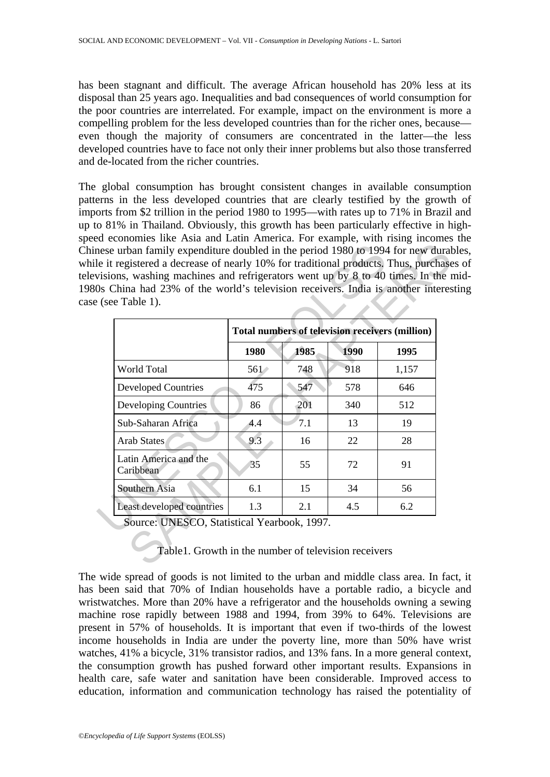has been stagnant and difficult. The average African household has 20% less at its disposal than 25 years ago. Inequalities and bad consequences of world consumption for the poor countries are interrelated. For example, impact on the environment is more a compelling problem for the less developed countries than for the richer ones, because even though the majority of consumers are concentrated in the latter—the less developed countries have to face not only their inner problems but also those transferred and de-located from the richer countries.

The global consumption has brought consistent changes in available consumption patterns in the less developed countries that are clearly testified by the growth of imports from \$2 trillion in the period 1980 to 1995—with rates up to 71% in Brazil and up to 81% in Thailand. Obviously, this growth has been particularly effective in highspeed economies like Asia and Latin America. For example, with rising incomes the Chinese urban family expenditure doubled in the period 1980 to 1994 for new durables, while it registered a decrease of nearly 10% for traditional products. Thus, purchases of televisions, washing machines and refrigerators went up by 8 to 40 times. In the mid-1980s China had 23% of the world's television receivers. India is another interesting case (see Table 1).

| Os China had 23% of the world's television receivers. India is another interes<br>$e$ (see Table 1). |                                                 |      |             |       |
|------------------------------------------------------------------------------------------------------|-------------------------------------------------|------|-------------|-------|
|                                                                                                      | Total numbers of television receivers (million) |      |             |       |
|                                                                                                      | 1980                                            | 1985 | <b>1990</b> | 1995  |
| World Total                                                                                          | $561 \times$                                    | 748  | 918         | 1,157 |
| <b>Developed Countries</b>                                                                           | 475                                             | 547  | 578         | 646   |
| Developing Countries                                                                                 | 86                                              | 201  | 340         | 512   |
| Sub-Saharan Africa                                                                                   | 4.4                                             | 7.1  | 13          | 19    |
| <b>Arab States</b>                                                                                   | 9.3                                             | 16   | 22          | 28    |
| Latin America and the<br>Caribbean                                                                   | 35                                              | 55   | 72          | 91    |
| Southern Asia                                                                                        | 6.1                                             | 15   | 34          | 56    |
| Least developed countries                                                                            | 1.3                                             | 2.1  | 4.5         | 6.2   |

## Table1. Growth in the number of television receivers

The wide spread of goods is not limited to the urban and middle class area. In fact, it has been said that 70% of Indian households have a portable radio, a bicycle and wristwatches. More than 20% have a refrigerator and the households owning a sewing machine rose rapidly between 1988 and 1994, from 39% to 64%. Televisions are present in 57% of households. It is important that even if two-thirds of the lowest income households in India are under the poverty line, more than 50% have wrist watches, 41% a bicycle, 31% transistor radios, and 13% fans. In a more general context, the consumption growth has pushed forward other important results. Expansions in health care, safe water and sanitation have been considerable. Improved access to education, information and communication technology has raised the potentiality of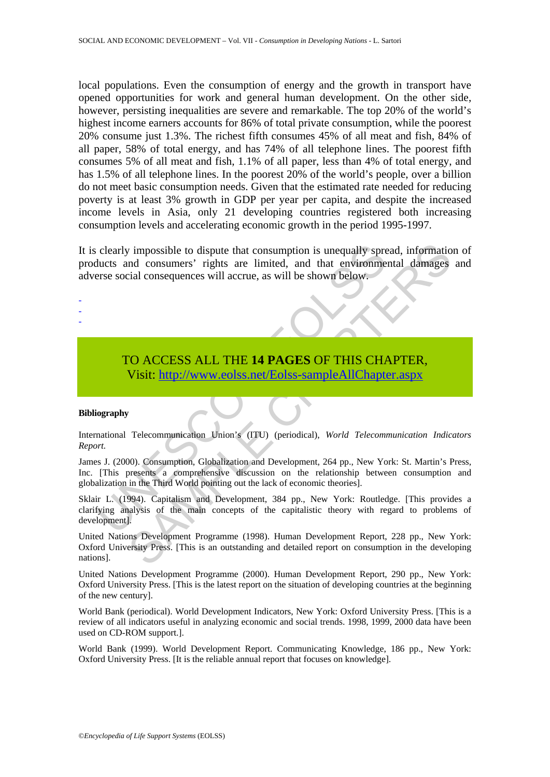local populations. Even the consumption of energy and the growth in transport have opened opportunities for work and general human development. On the other side, however, persisting inequalities are severe and remarkable. The top 20% of the world's highest income earners accounts for 86% of total private consumption, while the poorest 20% consume just 1.3%. The richest fifth consumes 45% of all meat and fish, 84% of all paper, 58% of total energy, and has 74% of all telephone lines. The poorest fifth consumes 5% of all meat and fish, 1.1% of all paper, less than 4% of total energy, and has 1.5% of all telephone lines. In the poorest 20% of the world's people, over a billion do not meet basic consumption needs. Given that the estimated rate needed for reducing poverty is at least 3% growth in GDP per year per capita, and despite the increased income levels in Asia, only 21 developing countries registered both increasing consumption levels and accelerating economic growth in the period 1995-1997.

clearly impossible to dispute that consumption is unequally spreudits and consumers' rights are limited, and that environment are social consequences will accrue, as will be shown below.<br>To ACCESS ALL THE 14 PAGES OF THIS The proposition of interests and that consumption is unequally spread, information<br>
ind consumers' rights are limited, and that environmental damages<br>
idenoscylences will accrue, as will be shown below.<br>
CO ACCESS ALL THE It is clearly impossible to dispute that consumption is unequally spread, information of products and consumers' rights are limited, and that environmental damages and adverse social consequences will accrue, as will be shown below.

# TO ACCESS ALL THE **14 PAGES** OF THIS CHAPTER, Visit: http://www.eolss.net/Eolss-sampleAllChapter.aspx

#### **Bibliography**

- - -

International Telecommunication Union's (ITU) (periodical), *World Telecommunication Indicators Report.* 

James J. (2000). Consumption, Globalization and Development, 264 pp., New York: St. Martin's Press, Inc. [This presents a comprehensive discussion on the relationship between consumption and globalization in the Third World pointing out the lack of economic theories].

Sklair L. (1994). Capitalism and Development, 384 pp., New York: Routledge. [This provides a clarifying analysis of the main concepts of the capitalistic theory with regard to problems of development].

United Nations Development Programme (1998). Human Development Report, 228 pp., New York: Oxford University Press. [This is an outstanding and detailed report on consumption in the developing nations].

United Nations Development Programme (2000). Human Development Report, 290 pp., New York: Oxford University Press. [This is the latest report on the situation of developing countries at the beginning of the new century].

World Bank (periodical). World Development Indicators, New York: Oxford University Press. [This is a review of all indicators useful in analyzing economic and social trends. 1998, 1999, 2000 data have been used on CD-ROM support.].

World Bank (1999). World Development Report. Communicating Knowledge, 186 pp., New York: Oxford University Press. [It is the reliable annual report that focuses on knowledge].